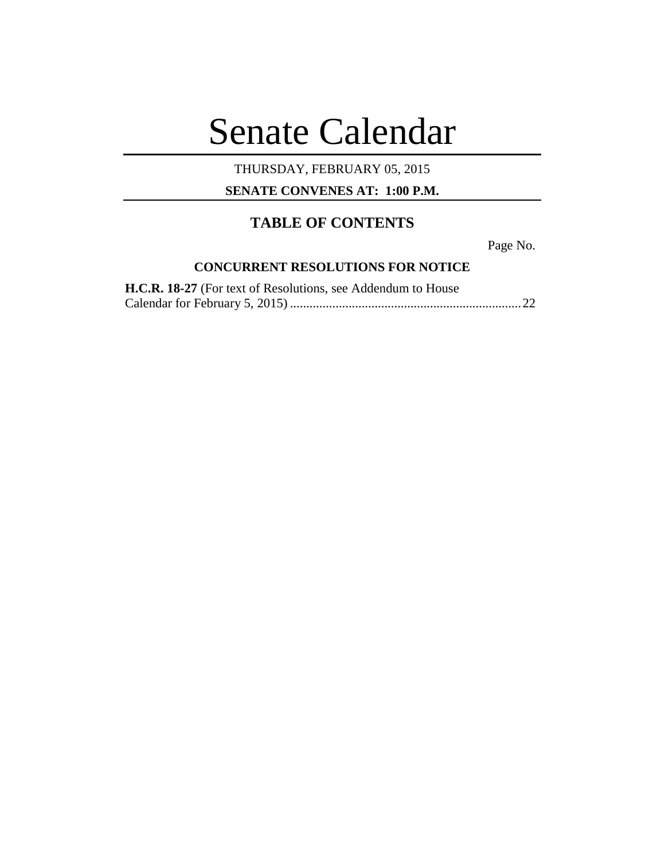# Senate Calendar

## THURSDAY, FEBRUARY 05, 2015

**SENATE CONVENES AT: 1:00 P.M.**

# **TABLE OF CONTENTS**

Page No.

### **CONCURRENT RESOLUTIONS FOR NOTICE**

| H.C.R. 18-27 (For text of Resolutions, see Addendum to House |  |
|--------------------------------------------------------------|--|
|                                                              |  |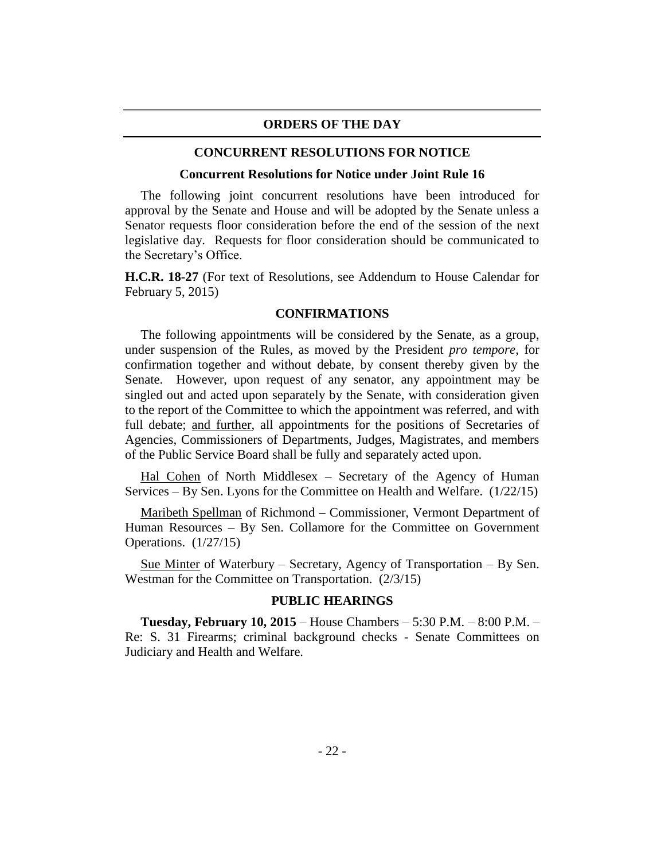#### **ORDERS OF THE DAY**

#### **CONCURRENT RESOLUTIONS FOR NOTICE**

#### **Concurrent Resolutions for Notice under Joint Rule 16**

The following joint concurrent resolutions have been introduced for approval by the Senate and House and will be adopted by the Senate unless a Senator requests floor consideration before the end of the session of the next legislative day. Requests for floor consideration should be communicated to the Secretary's Office.

**H.C.R. 18-27** (For text of Resolutions, see Addendum to House Calendar for February 5, 2015)

#### **CONFIRMATIONS**

The following appointments will be considered by the Senate, as a group, under suspension of the Rules, as moved by the President *pro tempore,* for confirmation together and without debate, by consent thereby given by the Senate. However, upon request of any senator, any appointment may be singled out and acted upon separately by the Senate, with consideration given to the report of the Committee to which the appointment was referred, and with full debate; and further, all appointments for the positions of Secretaries of Agencies, Commissioners of Departments, Judges, Magistrates, and members of the Public Service Board shall be fully and separately acted upon.

Hal Cohen of North Middlesex – Secretary of the Agency of Human Services – By Sen. Lyons for the Committee on Health and Welfare. (1/22/15)

Maribeth Spellman of Richmond – Commissioner, Vermont Department of Human Resources – By Sen. Collamore for the Committee on Government Operations. (1/27/15)

Sue Minter of Waterbury – Secretary, Agency of Transportation – By Sen. Westman for the Committee on Transportation. (2/3/15)

#### **PUBLIC HEARINGS**

**Tuesday, February 10, 2015** – House Chambers – 5:30 P.M. – 8:00 P.M. – Re: S. 31 Firearms; criminal background checks - Senate Committees on Judiciary and Health and Welfare.